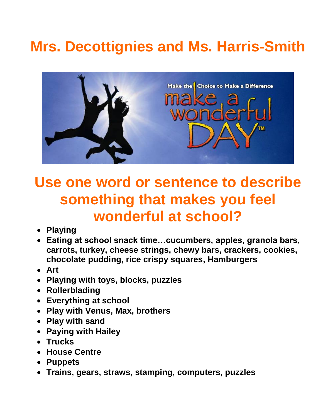# **Mrs. Decottignies and Ms. Harris-Smith**



## **Use one word or sentence to describe something that makes you feel wonderful at school?**

- **Playing**
- **Eating at school snack time…cucumbers, apples, granola bars, carrots, turkey, cheese strings, chewy bars, crackers, cookies, chocolate pudding, rice crispy squares, Hamburgers**
- **Art**
- **Playing with toys, blocks, puzzles**
- **Rollerblading**
- **Everything at school**
- **Play with Venus, Max, brothers**
- **Play with sand**
- **Paying with Hailey**
- **Trucks**
- **House Centre**
- **Puppets**
- **Trains, gears, straws, stamping, computers, puzzles**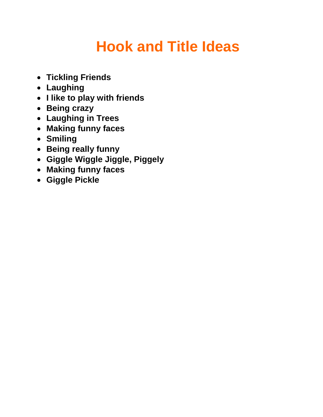# **Hook and Title Ideas**

- **Tickling Friends**
- **Laughing**
- **I like to play with friends**
- **Being crazy**
- **Laughing in Trees**
- **Making funny faces**
- **Smiling**
- **Being really funny**
- **Giggle Wiggle Jiggle, Piggely**
- **Making funny faces**
- **Giggle Pickle**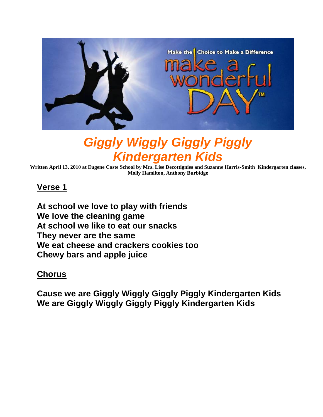

### *Giggly Wiggly Giggly Piggly Kindergarten Kids*

**Written April 13, 2010 at Eugene Coste School by Mrs. Lise Decottignies and Suzanne Harris-Smith Kindergarten classes, Molly Hamilton, Anthony Burbidge**

#### **Verse 1**

**At school we love to play with friends We love the cleaning game At school we like to eat our snacks They never are the same We eat cheese and crackers cookies too Chewy bars and apple juice** 

#### **Chorus**

**Cause we are Giggly Wiggly Giggly Piggly Kindergarten Kids We are Giggly Wiggly Giggly Piggly Kindergarten Kids**